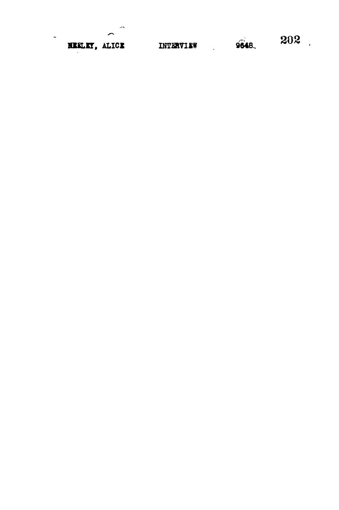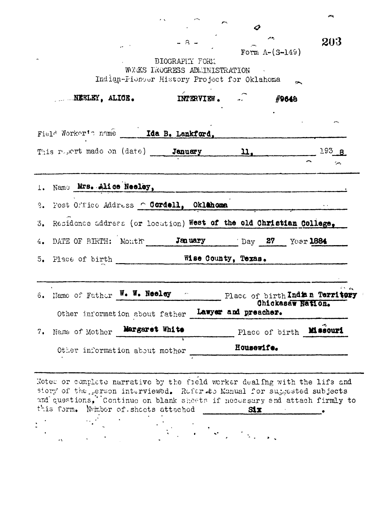| $\mathcal{A} \mathcal{B}_0$<br>203<br>$  -$<br>Form A-(S-149)<br><b>BIOGRAPHY FORM</b><br>WORKS TROGRESS ADMINISTRATION<br>Indian-Fioncer History Project for Oklahoma<br>NEELEY, ALICE.<br>INTERVIEW.<br>#9648<br>Field Worker's name _____ Ida B. Lankford,<br>193B<br>1. Name Mrs. Alice Neeley,<br>2. Post Office Address of Cordell, Oklahoma<br>3. Residence address (or location) West of the old Christian College,<br>DATE OF BIRTH: Month January 1989 27 Year 1884<br>Wise County, Texas.<br>5. Place of birth<br>6. Hame of Father W. W. Neeley<br>Place of birth India a Territory<br>Chickasaw Nation.<br>Other information about father Lawyer and preacher.<br>Place of birth Missouri<br>Name of Mother Margaret White<br>7.<br>Housewife.<br>Other information about mother |  | O |  |  |  |  |
|-----------------------------------------------------------------------------------------------------------------------------------------------------------------------------------------------------------------------------------------------------------------------------------------------------------------------------------------------------------------------------------------------------------------------------------------------------------------------------------------------------------------------------------------------------------------------------------------------------------------------------------------------------------------------------------------------------------------------------------------------------------------------------------------------|--|---|--|--|--|--|
|                                                                                                                                                                                                                                                                                                                                                                                                                                                                                                                                                                                                                                                                                                                                                                                               |  |   |  |  |  |  |
|                                                                                                                                                                                                                                                                                                                                                                                                                                                                                                                                                                                                                                                                                                                                                                                               |  |   |  |  |  |  |
|                                                                                                                                                                                                                                                                                                                                                                                                                                                                                                                                                                                                                                                                                                                                                                                               |  |   |  |  |  |  |
|                                                                                                                                                                                                                                                                                                                                                                                                                                                                                                                                                                                                                                                                                                                                                                                               |  |   |  |  |  |  |
|                                                                                                                                                                                                                                                                                                                                                                                                                                                                                                                                                                                                                                                                                                                                                                                               |  |   |  |  |  |  |
|                                                                                                                                                                                                                                                                                                                                                                                                                                                                                                                                                                                                                                                                                                                                                                                               |  |   |  |  |  |  |
|                                                                                                                                                                                                                                                                                                                                                                                                                                                                                                                                                                                                                                                                                                                                                                                               |  |   |  |  |  |  |
|                                                                                                                                                                                                                                                                                                                                                                                                                                                                                                                                                                                                                                                                                                                                                                                               |  |   |  |  |  |  |
|                                                                                                                                                                                                                                                                                                                                                                                                                                                                                                                                                                                                                                                                                                                                                                                               |  |   |  |  |  |  |
|                                                                                                                                                                                                                                                                                                                                                                                                                                                                                                                                                                                                                                                                                                                                                                                               |  |   |  |  |  |  |
|                                                                                                                                                                                                                                                                                                                                                                                                                                                                                                                                                                                                                                                                                                                                                                                               |  |   |  |  |  |  |
|                                                                                                                                                                                                                                                                                                                                                                                                                                                                                                                                                                                                                                                                                                                                                                                               |  |   |  |  |  |  |
|                                                                                                                                                                                                                                                                                                                                                                                                                                                                                                                                                                                                                                                                                                                                                                                               |  |   |  |  |  |  |
|                                                                                                                                                                                                                                                                                                                                                                                                                                                                                                                                                                                                                                                                                                                                                                                               |  |   |  |  |  |  |
|                                                                                                                                                                                                                                                                                                                                                                                                                                                                                                                                                                                                                                                                                                                                                                                               |  |   |  |  |  |  |
|                                                                                                                                                                                                                                                                                                                                                                                                                                                                                                                                                                                                                                                                                                                                                                                               |  |   |  |  |  |  |
|                                                                                                                                                                                                                                                                                                                                                                                                                                                                                                                                                                                                                                                                                                                                                                                               |  |   |  |  |  |  |
|                                                                                                                                                                                                                                                                                                                                                                                                                                                                                                                                                                                                                                                                                                                                                                                               |  |   |  |  |  |  |
|                                                                                                                                                                                                                                                                                                                                                                                                                                                                                                                                                                                                                                                                                                                                                                                               |  |   |  |  |  |  |
|                                                                                                                                                                                                                                                                                                                                                                                                                                                                                                                                                                                                                                                                                                                                                                                               |  |   |  |  |  |  |
|                                                                                                                                                                                                                                                                                                                                                                                                                                                                                                                                                                                                                                                                                                                                                                                               |  |   |  |  |  |  |
|                                                                                                                                                                                                                                                                                                                                                                                                                                                                                                                                                                                                                                                                                                                                                                                               |  |   |  |  |  |  |

 $\mathcal{L}(\mathbf{x})$ 

 $\sim$ 

Notes or complete narrative by the field worker dealing with the life and story of the person interviewed. Refer to Manual for suggested subjects and questions. Continue on blank sheets if necessary and attach firmly to this form. Number of sheets attached  $\mathbf{M}$  $\mathbf{x}$  $\frac{1}{2} \sum_{i=1}^N \frac{1}{2} \sum_{j=1}^N \frac{1}{2} \sum_{j=1}^N \frac{1}{2} \sum_{j=1}^N \frac{1}{2} \sum_{j=1}^N \frac{1}{2} \sum_{j=1}^N \frac{1}{2} \sum_{j=1}^N \frac{1}{2} \sum_{j=1}^N \frac{1}{2} \sum_{j=1}^N \frac{1}{2} \sum_{j=1}^N \frac{1}{2} \sum_{j=1}^N \frac{1}{2} \sum_{j=1}^N \frac{1}{2} \sum_{j=1}^N \frac{1}{2} \sum_{j=$  $\mathbb{R}^{d-1}$  $\mathbf{A}^{\text{max}}$  $\frac{1}{2}\sum_{i=1}^{n} \frac{1}{2} \sum_{j=1}^{n} \frac{1}{2} \sum_{j=1}^{n} \frac{1}{2} \sum_{j=1}^{n} \frac{1}{2} \sum_{j=1}^{n} \frac{1}{2} \sum_{j=1}^{n} \frac{1}{2} \sum_{j=1}^{n} \frac{1}{2} \sum_{j=1}^{n} \frac{1}{2} \sum_{j=1}^{n} \frac{1}{2} \sum_{j=1}^{n} \frac{1}{2} \sum_{j=1}^{n} \frac{1}{2} \sum_{j=1}^{n} \frac{1}{2} \sum_{j=1}^{n}$  $\frac{1}{2}$  .  $\mathcal{L}^{\text{max}}(\mathcal{F})$  , and  $\mathcal{A}^{\mathcal{A}}$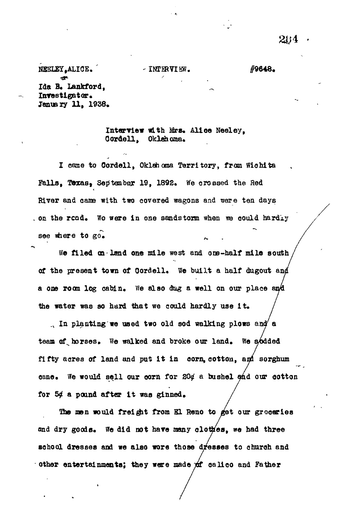NEELEY.ALICE. '*INTERVIEW.* #9648. Ida B. Lankford, Investigator. January 11, 1938.

## Interview with Mrs. Alice Neeley, Cordell. Oklahoma.

I came to Cordell, Oklahoma Territory, froa Wiohita Falls, Texas, September 19, 1892. We crossed the Red River and came with two covered wagons and were ten days on the read. We were in one sandstorm when me could hardly see where to  $g_0$ .

We filed on-land one mile west and one-half mile south of the present town of Oordell\* ie built a half dugout *enxf* a one room leg cabin. We also dug a well on our place and the water was so hard that we could hardly use it.

. In planting we used two old sod walking plows and a team of horses. We walked and broke our land. We sodded fifty acres of land and put it in corn, cotton, and sorghum cane. We would sell our corn for  $20\phi$  a bushel and our cotton for  $54$  a pound after it was ginned.

The men would freight from El Reno to get our groceries and dry goods. We did not have many clottes, we had three school dresses and we also wore those dresses to church and other entertainments; they were made pf calico and Father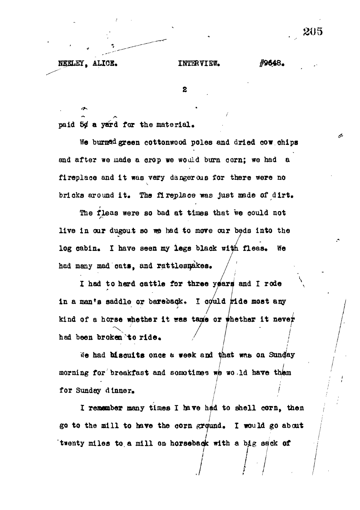oj.

**NEELEY, ALICE.** INTERVIEW. #9648.

 $\overline{\phantom{a}}$ 

**2**

paid 5¢ a yard for the material.

We burned green cottonwood poles and dried cow chips snd after we made a crop ve would bum corn; we had a fireplace and it was very dangerous for there were no bricks around it. The fireplace was just made of dirt.

The fleas were so bad at times that we oould not live in oar dugout so we had to more our beds into the log cabin. I have seen my legs black with fleas. We had many mad cats, and rattlesnakes.

 $/$  ' I had to herd cattle for three years and I rode / in a man's saddle or bareback. I could ride most any kind of a horse whether it was tame or whether it never  $\sim$  /  $\sim$  /  $\sim$  /  $\sim$  /  $\sim$  /  $\sim$  /  $\sim$  /  $\sim$  /  $\sim$  /  $\sim$  /  $\sim$  /  $\sim$  /  $\sim$  /  $\sim$  /  $\sim$  /  $\sim$  /  $\sim$  /  $\sim$  /  $\sim$  /  $\sim$  /  $\sim$  /  $\sim$  /  $\sim$  /  $\sim$  /  $\sim$  /  $\sim$  /  $\sim$  /  $\sim$  /  $\sim$  /  $\sim$  /  $\sim$  /  $\sim$ had been broken to ride.

**We had biscuits onoe a veek and that was on Sunday** morning for breakfast and sometimes we wo.1d have them for Sunday dinner.

I remember many times I have had to shell corn, then go to the mill to have the corn ground. I would go abouttwenty miles to a mill on horseback with a big sack of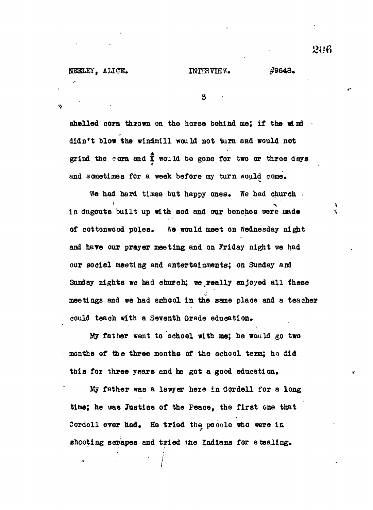NEELEY. ALICE. INTERVIEW. #9648.

3

shelled corn thrown on the horse behind me; if the wind ~ didn't blow the windmill would not turn and would not grind the corn and  $\tilde{\mathbf{I}}$  would be gone for two or three days and sometimes for a week before my turn would come.

We had hard times but happy ones. We had church . in dugouts built up with sod and our benches were made of cottonwood poles. We would meet on Wednesday night and hare our prayer meeting and on Friday night we had our social meeting and entertainments; on Sunday and Sunday nights we had church; we really enjoyed all these meetings and we had school in the same place and a teacher could teach with a Seventh Grade education.

My father went to school with me; he would go two months of the three months of the school term; he did this for three years and he got a good education.

My father was a lawyer here in Cordell for a long time; he was Justice of the Peace, the first one that Cordell ever had. He tried the people who were in sheeting scrapes and tried the Indians for stealing.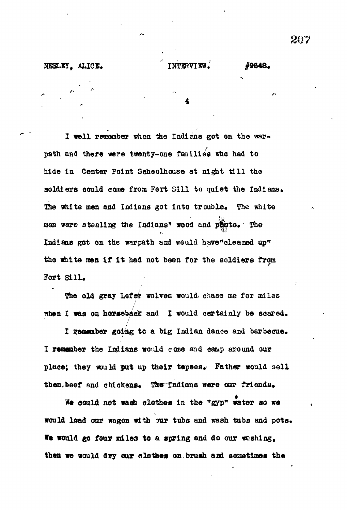## **NEELBJf, ALICB. " INTERVIEW." #9648 .**

/ "

**4**

I well remamber when the Indiana got on the warpath and there were twenty-one families, who had to hide in Center Point Schoolhouse at night till the **soldiers could come from Fort Sil l to quiet the Indians. The white men and Indians got into trouble. The white men were stealing "the Indians\* wood and plists. • The** Indians got on the warpath and would have"cleaned up" **the white men if It had not been for the soldiers from Fort Sill .**

r • for  $\mathbf{r}$   $\mathbf{r}$   $\mathbf{r}$   $\mathbf{r}$   $\mathbf{r}$   $\mathbf{r}$   $\mathbf{r}$   $\mathbf{r}$   $\mathbf{r}$   $\mathbf{r}$   $\mathbf{r}$   $\mathbf{r}$   $\mathbf{r}$   $\mathbf{r}$   $\mathbf{r}$   $\mathbf{r}$   $\mathbf{r}$   $\mathbf{r}$   $\mathbf{r}$   $\mathbf{r}$   $\mathbf{r}$   $\mathbf{r}$   $\mathbf{r}$   $\mathbf{r$ 

**old gray Lofer wolves would, chase me for miles when I was on horseback and I would certainly be soared. /**

I remember going to a big Indian dance and barbeoue. **I remember going to a big Iadian dance and barbecue. I remember the Indians would coma and oatup around our** place; they would put up their tepees. Father would sell **place; they mi d pat up their tepees. Father would sel l** them beef and chickens. The fudians were our friends. **them.beef and chickens. The Indians were oar friends.**

We could not wash clothes in the "gyp" water so we **We <sould not wash clothes in the "gyp" water so we** which is a strong with our way was help and was help and pots. **We would go four mlle3 to a spring and do our wc.shing, then we would dry oar clothes on brush and sometimes the**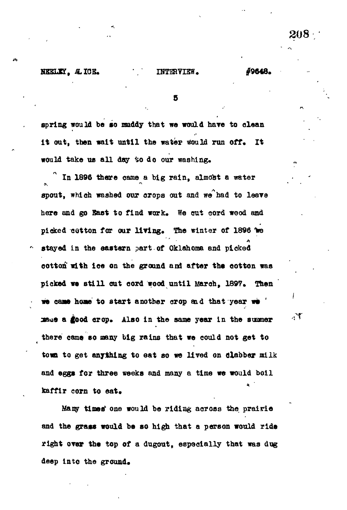## **HEELEY, A.ICE. INTERVIEW. #9648.**

**5**

**spring would be so muddy that we would hare to clean It oat, then wait until the water would run off. It** would take us all day to do our washing.

**In 1896 there came a big rain, almost a water spout, which washed oar oropa out and wehad to leave** here and go Bast to find work. We cut cord wood and **picked cotton for our living. The winter of 1896 %e** stayed in the eastern part of Oklahoma and picked **cotton with ice on the ground and after the cotton was** picked we still out cord wood until March, 1897. Then **• we caae hoae to start another crop and that year \*• ' Bau9 a good crop.** Also in the same year in the summer  $\mathbf{A}^{\mathcal{T}}$ **there came so aany big rains that we could not get to and eggs for three weeks and many a time we would boll** kaffir corn to eat.

**Many times<sup>1</sup> one would be riding across the prairie** and the grass would be so high that a person would ride deep inte the ground.

**deep into the ground\***